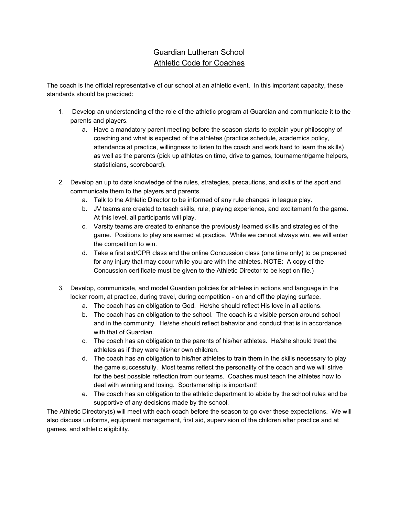## Guardian Lutheran School Athletic Code for Coaches

The coach is the official representative of our school at an athletic event. In this important capacity, these standards should be practiced:

- 1. Develop an understanding of the role of the athletic program at Guardian and communicate it to the parents and players.
	- a. Have a mandatory parent meeting before the season starts to explain your philosophy of coaching and what is expected of the athletes (practice schedule, academics policy, attendance at practice, willingness to listen to the coach and work hard to learn the skills) as well as the parents (pick up athletes on time, drive to games, tournament/game helpers, statisticians, scoreboard).
- 2. Develop an up to date knowledge of the rules, strategies, precautions, and skills of the sport and communicate them to the players and parents.
	- a. Talk to the Athletic Director to be informed of any rule changes in league play.
	- b. JV teams are created to teach skills, rule, playing experience, and excitement fo the game. At this level, all participants will play.
	- c. Varsity teams are created to enhance the previously learned skills and strategies of the game. Positions to play are earned at practice. While we cannot always win, we will enter the competition to win.
	- d. Take a first aid/CPR class and the online Concussion class (one time only) to be prepared for any injury that may occur while you are with the athletes. NOTE: A copy of the Concussion certificate must be given to the Athletic Director to be kept on file.)
- 3. Develop, communicate, and model Guardian policies for athletes in actions and language in the locker room, at practice, during travel, during competition - on and off the playing surface.
	- a. The coach has an obligation to God. He/she should reflect His love in all actions.
	- b. The coach has an obligation to the school. The coach is a visible person around school and in the community. He/she should reflect behavior and conduct that is in accordance with that of Guardian.
	- c. The coach has an obligation to the parents of his/her athletes. He/she should treat the athletes as if they were his/her own children.
	- d. The coach has an obligation to his/her athletes to train them in the skills necessary to play the game successfully. Most teams reflect the personality of the coach and we will strive for the best possible reflection from our teams. Coaches must teach the athletes how to deal with winning and losing. Sportsmanship is important!
	- e. The coach has an obligation to the athletic department to abide by the school rules and be supportive of any decisions made by the school.

The Athletic Directory(s) will meet with each coach before the season to go over these expectations. We will also discuss uniforms, equipment management, first aid, supervision of the children after practice and at games, and athletic eligibility.